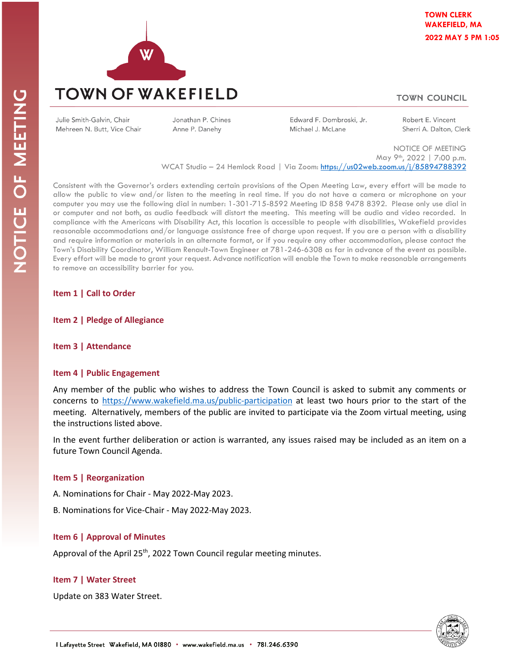

# **TOWN COUNCIL**

Julie Smith-Galvin, Chair Mehreen N. Butt, Vice Chair Jonathan P. Chines Anne P. Danehy

Edward F. Dombroski, Jr. Michael J. McLane

Robert E. Vincent Sherri A. Dalton, Clerk

NOTICE OF MEETING May 9th, 2022 | 7:00 p.m. WCAT Studio - 24 Hemlock Road | Via Zoom[: https://us02web.zoom.us/j/85894788392](https://us02web.zoom.us/j/85894788392)

Consistent with the Governor's orders extending certain provisions of the Open Meeting Law, every effort will be made to allow the public to view and/or listen to the meeting in real time. If you do not have a camera or microphone on your computer you may use the following dial in number: 1-301-715-8592 Meeting ID 858 9478 8392. Please only use dial in or computer and not both, as audio feedback will distort the meeting. This meeting will be audio and video recorded. In compliance with the Americans with Disability Act, this location is accessible to people with disabilities, Wakefield provides reasonable accommodations and/or language assistance free of charge upon request. If you are a person with a disability and require information or materials in an alternate format, or if you require any other accommodation, please contact the Town's Disability Coordinator, William Renault-Town Engineer at 781-246-6308 as far in advance of the event as possible. Every effort will be made to grant your request. Advance notification will enable the Town to make reasonable arrangements to remove an accessibility barrier for you.

### **Item 1 | Call to Order**

**Item 2 | Pledge of Allegiance**

### **Item 3 | Attendance**

### **Item 4 | Public Engagement**

Any member of the public who wishes to address the Town Council is asked to submit any comments or concerns to<https://www.wakefield.ma.us/public-participation> at least two hours prior to the start of the meeting. Alternatively, members of the public are invited to participate via the Zoom virtual meeting, using the instructions listed above.

In the event further deliberation or action is warranted, any issues raised may be included as an item on a future Town Council Agenda.

# **Item 5 | Reorganization**

A. Nominations for Chair - May 2022-May 2023.

B. Nominations for Vice-Chair - May 2022-May 2023.

# **Item 6 | Approval of Minutes**

Approval of the April 25<sup>th</sup>, 2022 Town Council regular meeting minutes.

# **Item 7 | Water Street**

Update on 383 Water Street.